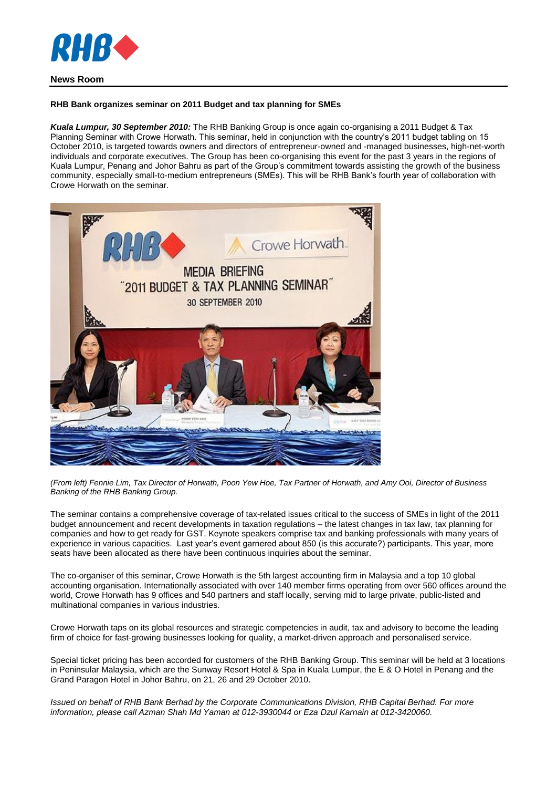

## **News Room**

## **RHB Bank organizes seminar on 2011 Budget and tax planning for SMEs**

*Kuala Lumpur, 30 September 2010:* The RHB Banking Group is once again co-organising a 2011 Budget & Tax Planning Seminar with Crowe Horwath. This seminar, held in conjunction with the country's 2011 budget tabling on 15 October 2010, is targeted towards owners and directors of entrepreneur-owned and -managed businesses, high-net-worth individuals and corporate executives. The Group has been co-organising this event for the past 3 years in the regions of Kuala Lumpur, Penang and Johor Bahru as part of the Group's commitment towards assisting the growth of the business community, especially small-to-medium entrepreneurs (SMEs). This will be RHB Bank's fourth year of collaboration with Crowe Horwath on the seminar.



*(From left) Fennie Lim, Tax Director of Horwath, Poon Yew Hoe, Tax Partner of Horwath, and Amy Ooi, Director of Business Banking of the RHB Banking Group.*

The seminar contains a comprehensive coverage of tax-related issues critical to the success of SMEs in light of the 2011 budget announcement and recent developments in taxation regulations – the latest changes in tax law, tax planning for companies and how to get ready for GST. Keynote speakers comprise tax and banking professionals with many years of experience in various capacities. Last year's event garnered about 850 (is this accurate?) participants. This year, more seats have been allocated as there have been continuous inquiries about the seminar.

The co-organiser of this seminar, Crowe Horwath is the 5th largest accounting firm in Malaysia and a top 10 global accounting organisation. Internationally associated with over 140 member firms operating from over 560 offices around the world, Crowe Horwath has 9 offices and 540 partners and staff locally, serving mid to large private, public-listed and multinational companies in various industries.

Crowe Horwath taps on its global resources and strategic competencies in audit, tax and advisory to become the leading firm of choice for fast-growing businesses looking for quality, a market-driven approach and personalised service.

Special ticket pricing has been accorded for customers of the RHB Banking Group. This seminar will be held at 3 locations in Peninsular Malaysia, which are the Sunway Resort Hotel & Spa in Kuala Lumpur, the E & O Hotel in Penang and the Grand Paragon Hotel in Johor Bahru, on 21, 26 and 29 October 2010.

*Issued on behalf of RHB Bank Berhad by the Corporate Communications Division, RHB Capital Berhad. For more information, please call Azman Shah Md Yaman at 012-3930044 or Eza Dzul Karnain at 012-3420060.*